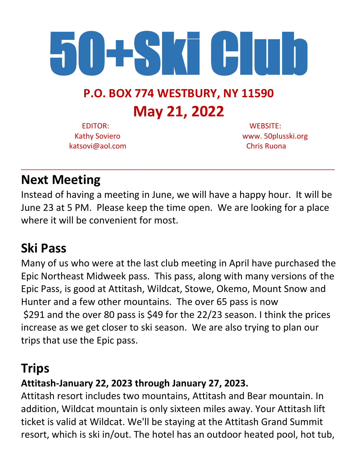

# **P.O. BOX 774 WESTBURY, NY 11590 May 21, 2022**

 EDITOR: WEBSITE: katsovi@aol.com Chris Ruona

Kathy Soviero www. 50plusski.org

### **Next Meeting**

Instead of having a meeting in June, we will have a happy hour. It will be June 23 at 5 PM. Please keep the time open. We are looking for a place where it will be convenient for most.

\_\_\_\_\_\_\_\_\_\_\_\_\_\_\_\_\_\_\_\_\_\_\_\_\_\_\_\_\_\_\_\_\_\_\_\_\_\_\_\_\_\_\_\_\_\_\_\_\_\_\_\_\_\_\_\_\_\_\_\_\_\_\_\_\_\_\_\_\_\_\_\_\_\_\_\_\_

## **Ski Pass**

Many of us who were at the last club meeting in April have purchased the Epic Northeast Midweek pass. This pass, along with many versions of the Epic Pass, is good at Attitash, Wildcat, Stowe, Okemo, Mount Snow and Hunter and a few other mountains. The over 65 pass is now \$291 and the over 80 pass is \$49 for the 22/23 season. I think the prices increase as we get closer to ski season. We are also trying to plan our trips that use the Epic pass.

## **Trips**

### **Attitash-January 22, 2023 through January 27, 2023.**

Attitash resort includes two mountains, Attitash and Bear mountain. In addition, Wildcat mountain is only sixteen miles away. Your Attitash lift ticket is valid at Wildcat. We'll be staying at the Attitash Grand Summit resort, which is ski in/out. The hotel has an outdoor heated pool, hot tub,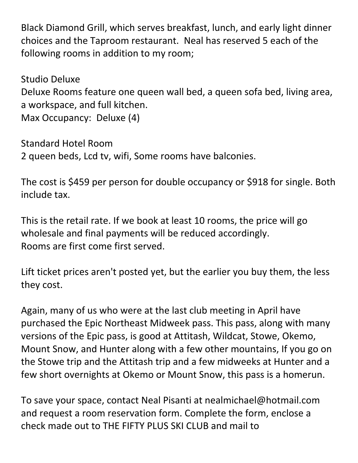Black Diamond Grill, which serves breakfast, lunch, and early light dinner choices and the Taproom restaurant. Neal has reserved 5 each of the following rooms in addition to my room;

Studio Deluxe Deluxe Rooms feature one queen wall bed, a queen sofa bed, living area, a workspace, and full kitchen. Max Occupancy: Deluxe (4)

Standard Hotel Room 2 queen beds, Lcd tv, wifi, Some rooms have balconies.

The cost is \$459 per person for double occupancy or \$918 for single. Both include tax.

This is the retail rate. If we book at least 10 rooms, the price will go wholesale and final payments will be reduced accordingly. Rooms are first come first served.

Lift ticket prices aren't posted yet, but the earlier you buy them, the less they cost.

Again, many of us who were at the last club meeting in April have purchased the Epic Northeast Midweek pass. This pass, along with many versions of the Epic pass, is good at Attitash, Wildcat, Stowe, Okemo, Mount Snow, and Hunter along with a few other mountains, If you go on the Stowe trip and the Attitash trip and a few midweeks at Hunter and a few short overnights at Okemo or Mount Snow, this pass is a homerun.

To save your space, contact Neal Pisanti at nealmichael@hotmail.com and request a room reservation form. Complete the form, enclose a check made out to THE FIFTY PLUS SKI CLUB and mail to